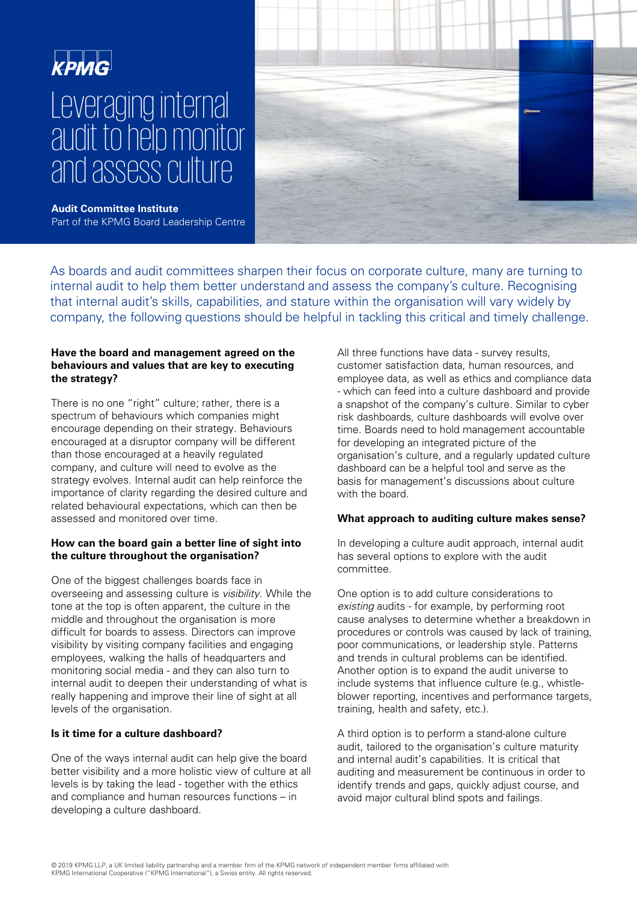# Leveraging internal audit to help monitor and assess culture



**Audit Committee Institute**  Part of the KPMG Board Leadership Centre

As boards and audit committees sharpen their focus on corporate culture, many are turning to internal audit to help them better understand and assess the company's culture. Recognising that internal audit's skills, capabilities, and stature within the organisation will vary widely by company, the following questions should be helpful in tackling this critical and timely challenge.

### **Have the board and management agreed on the behaviours and values that are key to executing the strategy?**

There is no one "right" culture; rather, there is a spectrum of behaviours which companies might encourage depending on their strategy. Behaviours encouraged at a disruptor company will be different than those encouraged at a heavily regulated company, and culture will need to evolve as the strategy evolves. Internal audit can help reinforce the importance of clarity regarding the desired culture and related behavioural expectations, which can then be assessed and monitored over time.

## **How can the board gain a better line of sight into the culture throughout the organisation?**

One of the biggest challenges boards face in overseeing and assessing culture is visibility. While the tone at the top is often apparent, the culture in the middle and throughout the organisation is more difficult for boards to assess. Directors can improve visibility by visiting company facilities and engaging employees, walking the halls of headquarters and monitoring social media - and they can also turn to internal audit to deepen their understanding of what is really happening and improve their line of sight at all levels of the organisation.

# **Is it time for a culture dashboard?**

One of the ways internal audit can help give the board better visibility and a more holistic view of culture at all levels is by taking the lead - together with the ethics and compliance and human resources functions – in developing a culture dashboard.

All three functions have data - survey results, customer satisfaction data, human resources, and employee data, as well as ethics and compliance data - which can feed into a culture dashboard and provide a snapshot of the company's culture. Similar to cyber risk dashboards, culture dashboards will evolve over time. Boards need to hold management accountable for developing an integrated picture of the organisation's culture, and a regularly updated culture dashboard can be a helpful tool and serve as the basis for management's discussions about culture with the board.

## **What approach to auditing culture makes sense?**

In developing a culture audit approach, internal audit has several options to explore with the audit committee.

One option is to add culture considerations to existing audits - for example, by performing root cause analyses to determine whether a breakdown in procedures or controls was caused by lack of training, poor communications, or leadership style. Patterns and trends in cultural problems can be identified. Another option is to expand the audit universe to include systems that influence culture (e.g., whistleblower reporting, incentives and performance targets, training, health and safety, etc.).

A third option is to perform a stand-alone culture audit, tailored to the organisation's culture maturity and internal audit's capabilities. It is critical that auditing and measurement be continuous in order to identify trends and gaps, quickly adjust course, and avoid major cultural blind spots and failings.